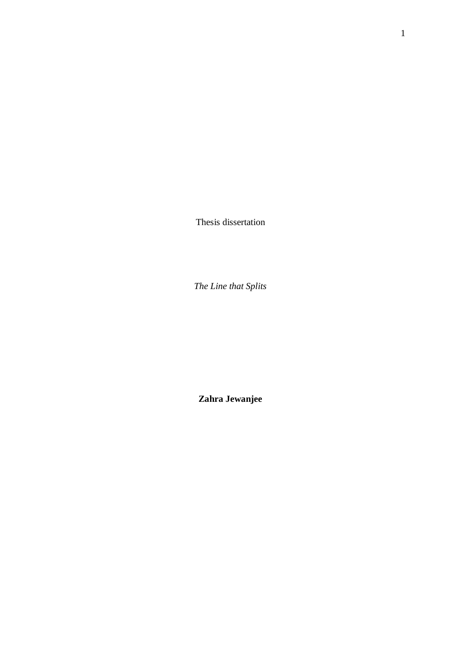Thesis dissertation

*The Line that Splits*

**Zahra Jewanjee**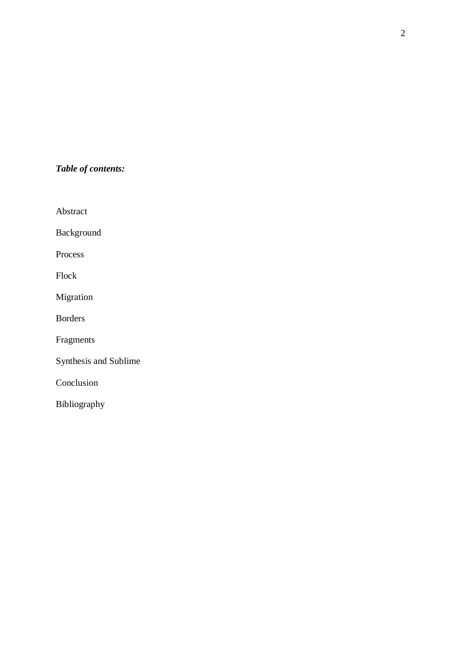# *Table of contents:*

Abstract

Background

Process

Flock

Migration

Borders

Fragments

Synthesis and Sublime

Conclusion

Bibliography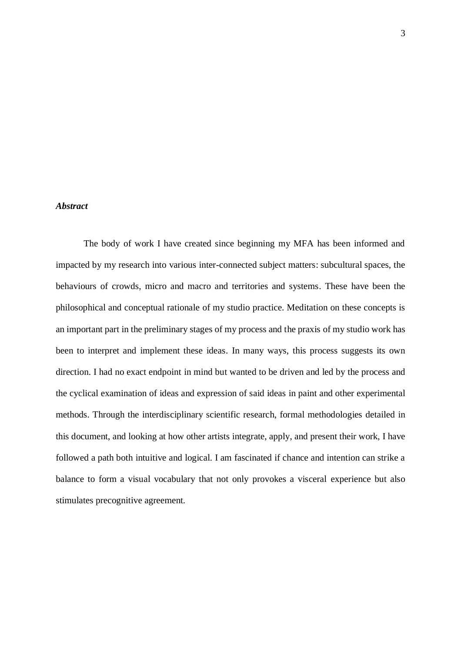#### *Abstract*

The body of work I have created since beginning my MFA has been informed and impacted by my research into various inter-connected subject matters: subcultural spaces, the behaviours of crowds, micro and macro and territories and systems. These have been the philosophical and conceptual rationale of my studio practice. Meditation on these concepts is an important part in the preliminary stages of my process and the praxis of my studio work has been to interpret and implement these ideas. In many ways, this process suggests its own direction. I had no exact endpoint in mind but wanted to be driven and led by the process and the cyclical examination of ideas and expression of said ideas in paint and other experimental methods. Through the interdisciplinary scientific research, formal methodologies detailed in this document, and looking at how other artists integrate, apply, and present their work, I have followed a path both intuitive and logical. I am fascinated if chance and intention can strike a balance to form a visual vocabulary that not only provokes a visceral experience but also stimulates precognitive agreement.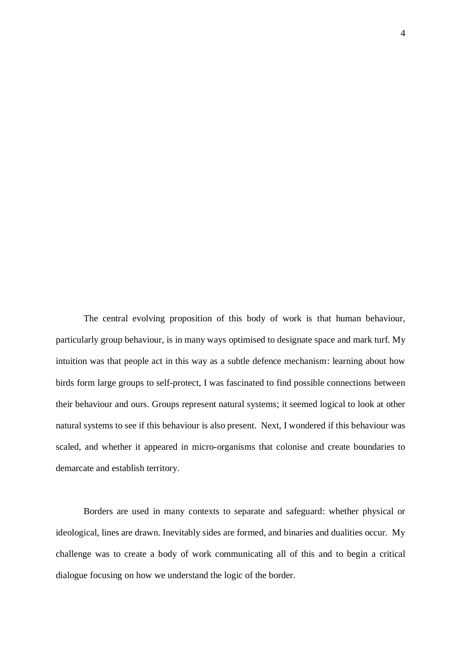The central evolving proposition of this body of work is that human behaviour, particularly group behaviour, is in many ways optimised to designate space and mark turf. My intuition was that people act in this way as a subtle defence mechanism: learning about how birds form large groups to self-protect, I was fascinated to find possible connections between their behaviour and ours. Groups represent natural systems; it seemed logical to look at other natural systems to see if this behaviour is also present. Next, I wondered if this behaviour was scaled, and whether it appeared in micro-organisms that colonise and create boundaries to demarcate and establish territory.

Borders are used in many contexts to separate and safeguard: whether physical or ideological, lines are drawn. Inevitably sides are formed, and binaries and dualities occur. My challenge was to create a body of work communicating all of this and to begin a critical dialogue focusing on how we understand the logic of the border.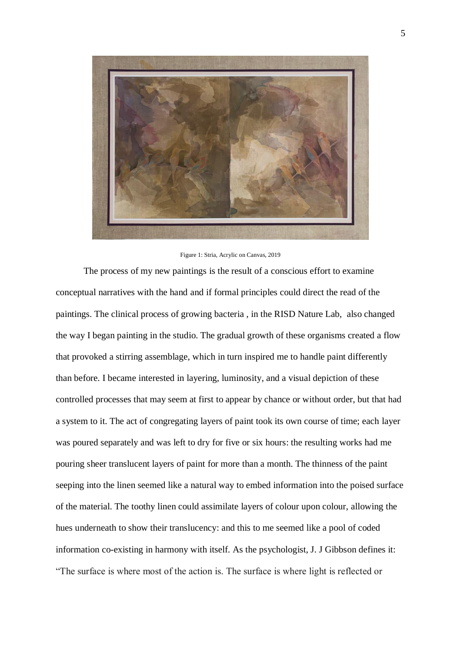

Figure 1: Stria, Acrylic on Canvas, 2019

The process of my new paintings is the result of a conscious effort to examine conceptual narratives with the hand and if formal principles could direct the read of the paintings. The clinical process of growing bacteria , in the RISD Nature Lab, also changed the way I began painting in the studio. The gradual growth of these organisms created a flow that provoked a stirring assemblage, which in turn inspired me to handle paint differently than before. I became interested in layering, luminosity, and a visual depiction of these controlled processes that may seem at first to appear by chance or without order, but that had a system to it. The act of congregating layers of paint took its own course of time; each layer was poured separately and was left to dry for five or six hours: the resulting works had me pouring sheer translucent layers of paint for more than a month. The thinness of the paint seeping into the linen seemed like a natural way to embed information into the poised surface of the material. The toothy linen could assimilate layers of colour upon colour, allowing the hues underneath to show their translucency: and this to me seemed like a pool of coded information co-existing in harmony with itself. As the psychologist, J. J Gibbson defines it: "The surface is where most of the action is. The surface is where light is reflected or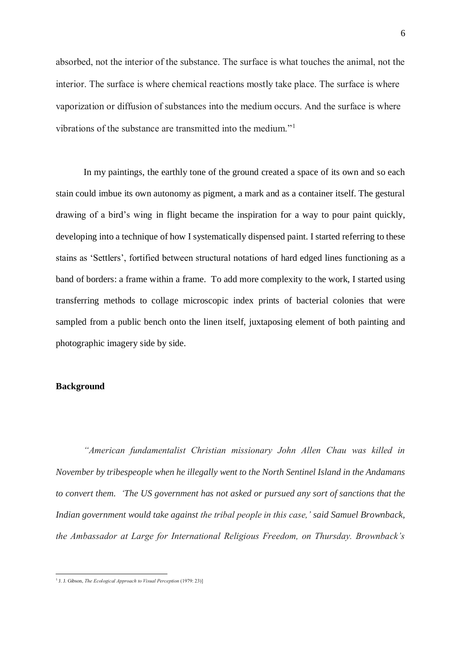absorbed, not the interior of the substance. The surface is what touches the animal, not the interior. The surface is where chemical reactions mostly take place. The surface is where vaporization or diffusion of substances into the medium occurs. And the surface is where vibrations of the substance are transmitted into the medium."<sup>1</sup>

In my paintings, the earthly tone of the ground created a space of its own and so each stain could imbue its own autonomy as pigment, a mark and as a container itself. The gestural drawing of a bird's wing in flight became the inspiration for a way to pour paint quickly, developing into a technique of how I systematically dispensed paint. I started referring to these stains as 'Settlers', fortified between structural notations of hard edged lines functioning as a band of borders: a frame within a frame. To add more complexity to the work, I started using transferring methods to collage microscopic index prints of bacterial colonies that were sampled from a public bench onto the linen itself, juxtaposing element of both painting and photographic imagery side by side.

# **Background**

*"American fundamentalist Christian missionary John Allen Chau was killed in November by tribespeople when he illegally went to the North Sentinel Island in the Andamans to convert them. 'The US government has not asked or pursued any sort of sanctions that the Indian government would take against the tribal people in this case,' said Samuel Brownback, the Ambassador at Large for International Religious Freedom, on Thursday. Brownback's* 

 1 J. J. Gibson, *The Ecological Approach to Visual Perception* (1979: 23)]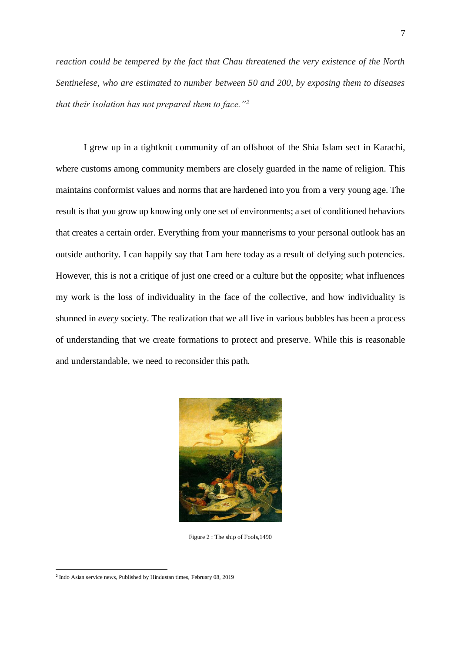*reaction could be tempered by the fact that Chau threatened the very existence of the North Sentinelese, who are estimated to number between 50 and 200, by exposing them to diseases that their isolation has not prepared them to face."<sup>2</sup>*

I grew up in a tightknit community of an offshoot of the Shia Islam sect in Karachi, where customs among community members are closely guarded in the name of religion. This maintains conformist values and norms that are hardened into you from a very young age. The result is that you grow up knowing only one set of environments; a set of conditioned behaviors that creates a certain order. Everything from your mannerisms to your personal outlook has an outside authority. I can happily say that I am here today as a result of defying such potencies. However, this is not a critique of just one creed or a culture but the opposite; what influences my work is the loss of individuality in the face of the collective, and how individuality is shunned in *every* society. The realization that we all live in various bubbles has been a process of understanding that we create formations to protect and preserve. While this is reasonable and understandable, we need to reconsider this path.



Figure 2 : The ship of Fools,1490

<sup>&</sup>lt;sup>2</sup> Indo Asian service news, Published by Hindustan times, February 08, 2019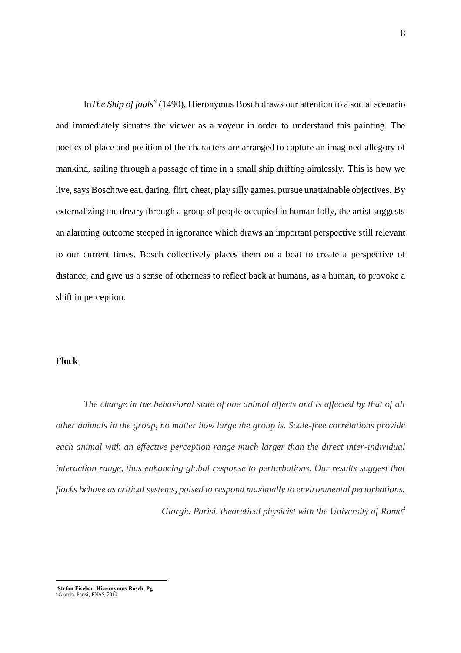In*The Ship of fools<sup>3</sup>* (1490), Hieronymus Bosch draws our attention to a social scenario and immediately situates the viewer as a voyeur in order to understand this painting. The poetics of place and position of the characters are arranged to capture an imagined allegory of mankind, sailing through a passage of time in a small ship drifting aimlessly. This is how we live, says Bosch:we eat, daring, flirt, cheat, play silly games, pursue unattainable objectives. By externalizing the dreary through a group of people occupied in human folly, the artist suggests an alarming outcome steeped in ignorance which draws an important perspective still relevant to our current times. Bosch collectively places them on a boat to create a perspective of distance, and give us a sense of otherness to reflect back at humans, as a human, to provoke a shift in perception.

#### **Flock**

*The change in the behavioral state of one animal affects and is affected by that of all other animals in the group, no matter how large the group is. Scale-free correlations provide each animal with an effective perception range much larger than the direct inter-individual interaction range, thus enhancing global response to perturbations. Our results suggest that flocks behave as critical systems, poised to respond maximally to environmental perturbations. Giorgio Parisi, theoretical physicist with the University of Rome<sup>4</sup>*

 $\overline{a}$ <sup>3</sup>**Stefan Fischer, Hieronymus Bosch, Pg** <sup>4</sup> Giorgio, Parisi, PNAS, 2010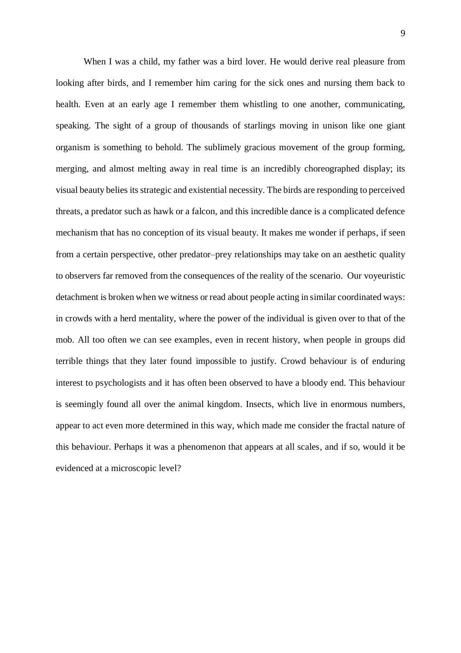When I was a child, my father was a bird lover. He would derive real pleasure from looking after birds, and I remember him caring for the sick ones and nursing them back to health. Even at an early age I remember them whistling to one another, communicating, speaking. The sight of a group of thousands of starlings moving in unison like one giant organism is something to behold. The sublimely gracious movement of the group forming, merging, and almost melting away in real time is an incredibly choreographed display; its visual beauty belies its strategic and existential necessity. The birds are responding to perceived threats, a predator such as hawk or a falcon, and this incredible dance is a complicated defence mechanism that has no conception of its visual beauty. It makes me wonder if perhaps, if seen from a certain perspective, other predator–prey relationships may take on an aesthetic quality to observers far removed from the consequences of the reality of the scenario. Our voyeuristic detachment is broken when we witness or read about people acting in similar coordinated ways: in crowds with a herd mentality, where the power of the individual is given over to that of the mob. All too often we can see examples, even in recent history, when people in groups did terrible things that they later found impossible to justify. Crowd behaviour is of enduring interest to psychologists and it has often been observed to have a bloody end. This behaviour is seemingly found all over the animal kingdom. Insects, which live in enormous numbers, appear to act even more determined in this way, which made me consider the fractal nature of this behaviour. Perhaps it was a phenomenon that appears at all scales, and if so, would it be evidenced at a microscopic level?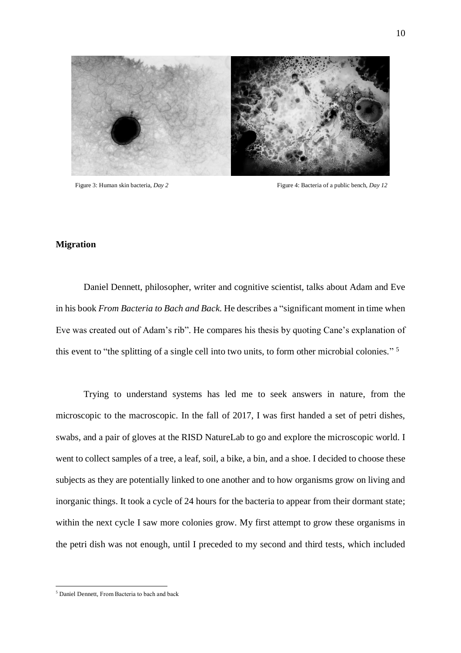

Figure 3: Human skin bacteria, *Day 2* Figure 4: Bacteria of a public bench, *Day 12* 

### **Migration**

Daniel Dennett, philosopher, writer and cognitive scientist, talks about Adam and Eve in his book *From Bacteria to Bach and Back.* He describes a "significant moment in time when Eve was created out of Adam's rib". He compares his thesis by quoting Cane's explanation of this event to "the splitting of a single cell into two units, to form other microbial colonies." 5

Trying to understand systems has led me to seek answers in nature, from the microscopic to the macroscopic. In the fall of 2017, I was first handed a set of petri dishes, swabs, and a pair of gloves at the RISD NatureLab to go and explore the microscopic world. I went to collect samples of a tree, a leaf, soil, a bike, a bin, and a shoe. I decided to choose these subjects as they are potentially linked to one another and to how organisms grow on living and inorganic things. It took a cycle of 24 hours for the bacteria to appear from their dormant state; within the next cycle I saw more colonies grow. My first attempt to grow these organisms in the petri dish was not enough, until I preceded to my second and third tests, which included

<sup>5</sup> Daniel Dennett, From Bacteria to bach and back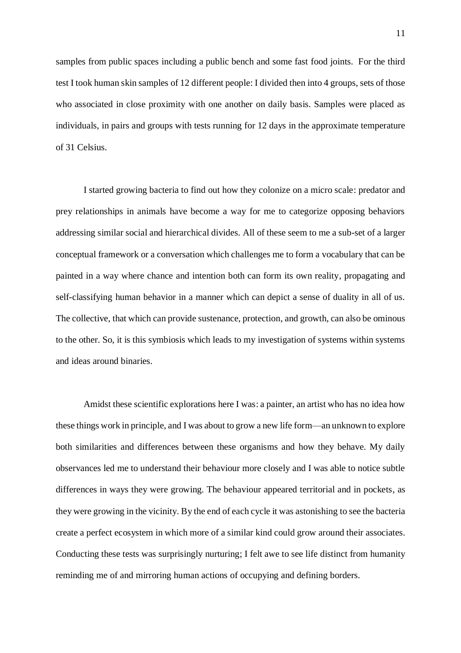samples from public spaces including a public bench and some fast food joints. For the third test I took human skin samples of 12 different people: I divided then into 4 groups, sets of those who associated in close proximity with one another on daily basis. Samples were placed as individuals, in pairs and groups with tests running for 12 days in the approximate temperature of 31 Celsius.

I started growing bacteria to find out how they colonize on a micro scale: predator and prey relationships in animals have become a way for me to categorize opposing behaviors addressing similar social and hierarchical divides. All of these seem to me a sub-set of a larger conceptual framework or a conversation which challenges me to form a vocabulary that can be painted in a way where chance and intention both can form its own reality, propagating and self-classifying human behavior in a manner which can depict a sense of duality in all of us. The collective, that which can provide sustenance, protection, and growth, can also be ominous to the other. So, it is this symbiosis which leads to my investigation of systems within systems and ideas around binaries.

Amidst these scientific explorations here I was: a painter, an artist who has no idea how these things work in principle, and I was about to grow a new life form—an unknown to explore both similarities and differences between these organisms and how they behave. My daily observances led me to understand their behaviour more closely and I was able to notice subtle differences in ways they were growing. The behaviour appeared territorial and in pockets, as they were growing in the vicinity. By the end of each cycle it was astonishing to see the bacteria create a perfect ecosystem in which more of a similar kind could grow around their associates. Conducting these tests was surprisingly nurturing; I felt awe to see life distinct from humanity reminding me of and mirroring human actions of occupying and defining borders.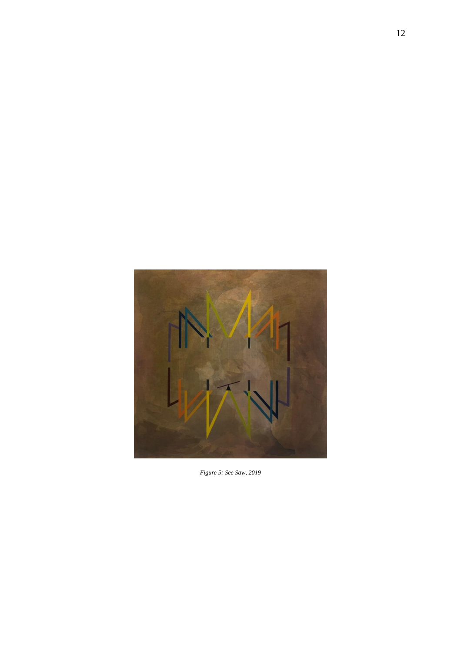

*Figure 5: See Saw, 2019*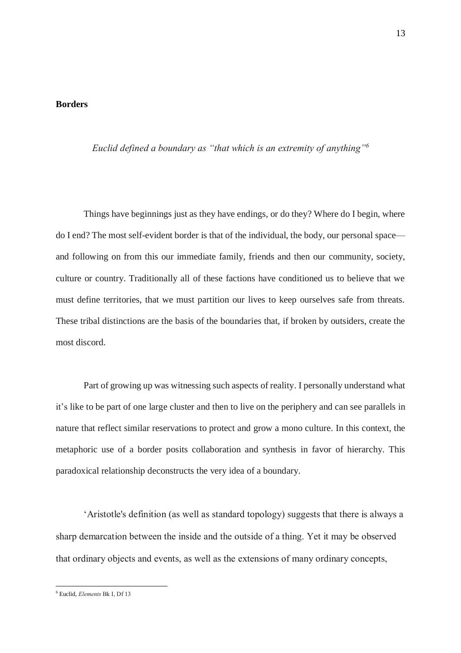#### **Borders**

*Euclid defined a boundary as "that which is an extremity of anything"<sup>6</sup>*

Things have beginnings just as they have endings, or do they? Where do I begin, where do I end? The most self-evident border is that of the individual, the body, our personal space and following on from this our immediate family, friends and then our community, society, culture or country. Traditionally all of these factions have conditioned us to believe that we must define territories, that we must partition our lives to keep ourselves safe from threats. These tribal distinctions are the basis of the boundaries that, if broken by outsiders, create the most discord.

Part of growing up was witnessing such aspects of reality. I personally understand what it's like to be part of one large cluster and then to live on the periphery and can see parallels in nature that reflect similar reservations to protect and grow a mono culture. In this context, the metaphoric use of a border posits collaboration and synthesis in favor of hierarchy. This paradoxical relationship deconstructs the very idea of a boundary.

'Aristotle's definition (as well as standard topology) suggests that there is always a sharp demarcation between the inside and the outside of a thing. Yet it may be observed that ordinary objects and events, as well as the extensions of many ordinary concepts,

<sup>6</sup> Euclid, *Elements* Bk I, Df 13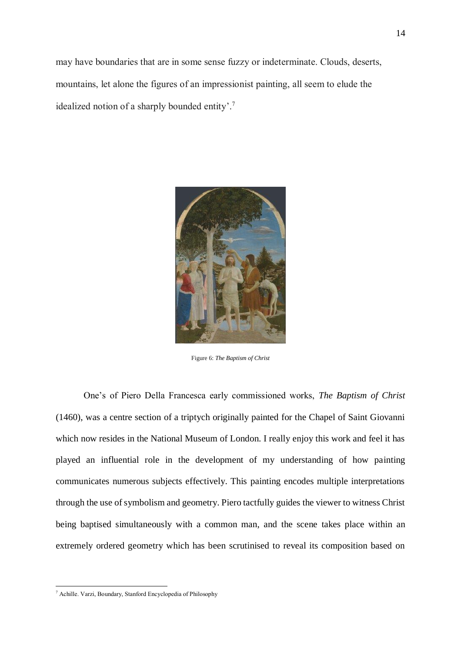may have boundaries that are in some sense fuzzy or indeterminate. Clouds, deserts, mountains, let alone the figures of an impressionist painting, all seem to elude the idealized notion of a sharply bounded entity'. 7



Figure 6: *The Baptism of Christ*

One's of Piero Della Francesca early commissioned works, *The Baptism of Christ* (1460), was a centre section of a triptych originally painted for the Chapel of Saint Giovanni which now resides in the National Museum of London. I really enjoy this work and feel it has played an influential role in the development of my understanding of how painting communicates numerous subjects effectively. This painting encodes multiple interpretations through the use of symbolism and geometry. Piero tactfully guides the viewer to witness Christ being baptised simultaneously with a common man, and the scene takes place within an extremely ordered geometry which has been scrutinised to reveal its composition based on

<sup>7</sup> Achille. Varzi, Boundary, Stanford Encyclopedia of Philosophy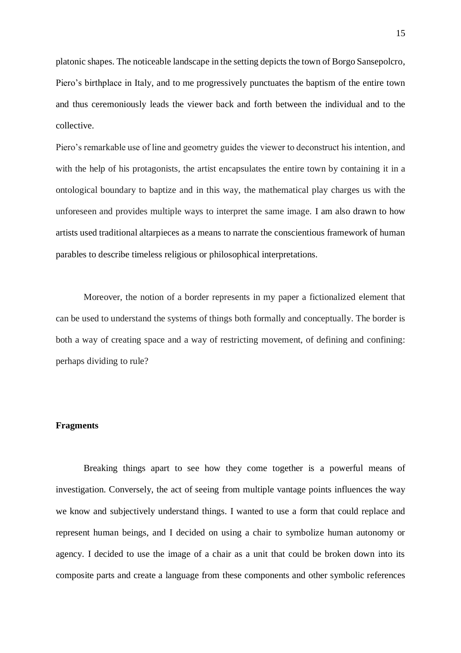platonic shapes. The noticeable landscape in the setting depicts the town of Borgo Sansepolcro, Piero's birthplace in Italy, and to me progressively punctuates the baptism of the entire town and thus ceremoniously leads the viewer back and forth between the individual and to the collective.

Piero's remarkable use of line and geometry guides the viewer to deconstruct his intention, and with the help of his protagonists, the artist encapsulates the entire town by containing it in a ontological boundary to baptize and in this way, the mathematical play charges us with the unforeseen and provides multiple ways to interpret the same image. I am also drawn to how artists used traditional altarpieces as a means to narrate the conscientious framework of human parables to describe timeless religious or philosophical interpretations.

Moreover, the notion of a border represents in my paper a fictionalized element that can be used to understand the systems of things both formally and conceptually. The border is both a way of creating space and a way of restricting movement, of defining and confining: perhaps dividing to rule?

#### **Fragments**

Breaking things apart to see how they come together is a powerful means of investigation. Conversely, the act of seeing from multiple vantage points influences the way we know and subjectively understand things. I wanted to use a form that could replace and represent human beings, and I decided on using a chair to symbolize human autonomy or agency. I decided to use the image of a chair as a unit that could be broken down into its composite parts and create a language from these components and other symbolic references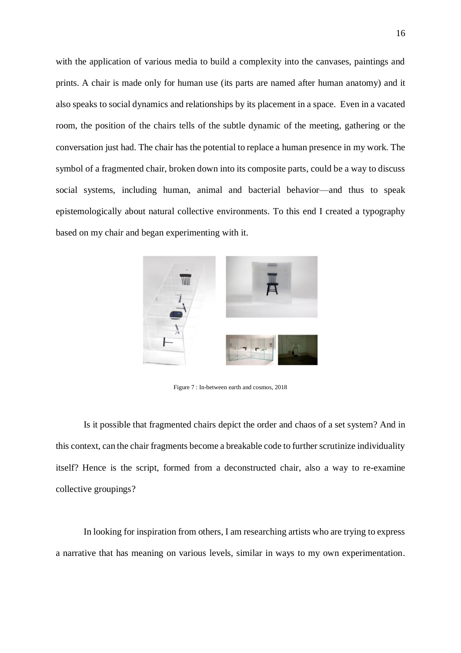with the application of various media to build a complexity into the canvases, paintings and prints. A chair is made only for human use (its parts are named after human anatomy) and it also speaks to social dynamics and relationships by its placement in a space. Even in a vacated room, the position of the chairs tells of the subtle dynamic of the meeting, gathering or the conversation just had. The chair has the potential to replace a human presence in my work. The symbol of a fragmented chair, broken down into its composite parts, could be a way to discuss social systems, including human, animal and bacterial behavior—and thus to speak epistemologically about natural collective environments. To this end I created a typography based on my chair and began experimenting with it.



Figure 7 : In-between earth and cosmos, 2018

Is it possible that fragmented chairs depict the order and chaos of a set system? And in this context, can the chair fragments become a breakable code to further scrutinize individuality itself? Hence is the script, formed from a deconstructed chair, also a way to re-examine collective groupings?

In looking for inspiration from others, I am researching artists who are trying to express a narrative that has meaning on various levels, similar in ways to my own experimentation.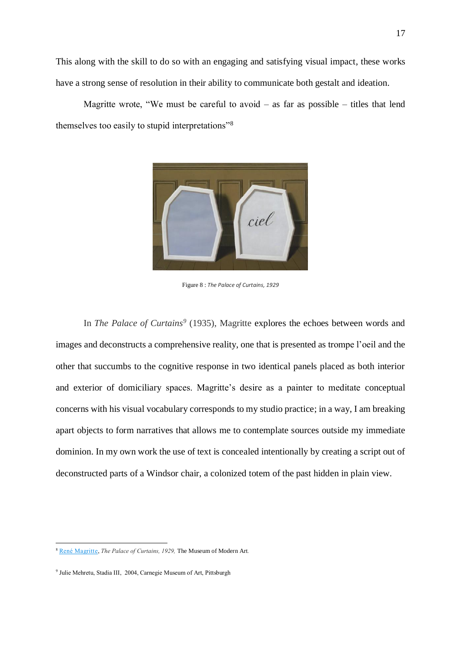This along with the skill to do so with an engaging and satisfying visual impact, these works have a strong sense of resolution in their ability to communicate both gestalt and ideation.

Magritte wrote, "We must be careful to avoid  $-$  as far as possible  $-$  titles that lend themselves too easily to stupid interpretations"<sup>8</sup>



Figure 8 : *The Palace of Curtains, 1929*

In *The Palace of Curtains<sup>9</sup>* (1935), Magritte explores the echoes between words and images and deconstructs a comprehensive reality, one that is presented as trompe l'oeil and the other that succumbs to the cognitive response in two identical panels placed as both interior and exterior of domiciliary spaces. Magritte's desire as a painter to meditate conceptual concerns with his visual vocabulary corresponds to my studio practice; in a way, I am breaking apart objects to form narratives that allows me to contemplate sources outside my immediate dominion. In my own work the use of text is concealed intentionally by creating a script out of deconstructed parts of a Windsor chair, a colonized totem of the past hidden in plain view.

<sup>8</sup> René [Magritte,](https://www.moma.org/learn/moma_learning/artists/#rene_magritte) *The Palace of Curtains, 1929,* The Museum of Modern Art*.*

<sup>9</sup> Julie Mehretu, Stadia III, 2004, Carnegie Museum of Art, Pittsburgh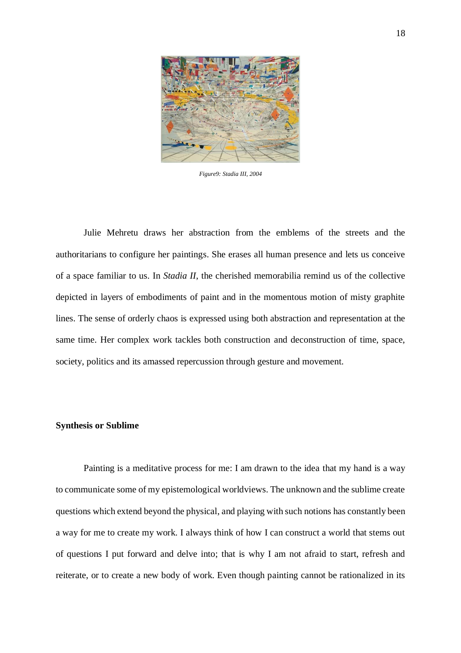

*Figure9: Stadia III, 2004*

Julie Mehretu draws her abstraction from the emblems of the streets and the authoritarians to configure her paintings. She erases all human presence and lets us conceive of a space familiar to us. In *Stadia II*, the cherished memorabilia remind us of the collective depicted in layers of embodiments of paint and in the momentous motion of misty graphite lines. The sense of orderly chaos is expressed using both abstraction and representation at the same time. Her complex work tackles both construction and deconstruction of time, space, society, politics and its amassed repercussion through gesture and movement.

#### **Synthesis or Sublime**

Painting is a meditative process for me: I am drawn to the idea that my hand is a way to communicate some of my epistemological worldviews. The unknown and the sublime create questions which extend beyond the physical, and playing with such notions has constantly been a way for me to create my work. I always think of how I can construct a world that stems out of questions I put forward and delve into; that is why I am not afraid to start, refresh and reiterate, or to create a new body of work. Even though painting cannot be rationalized in its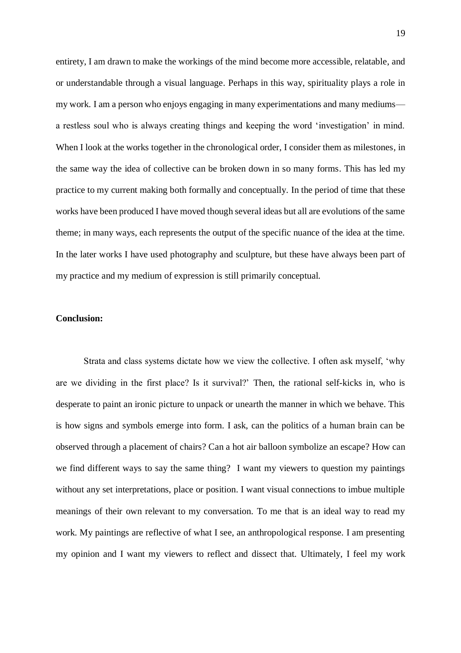entirety, I am drawn to make the workings of the mind become more accessible, relatable, and or understandable through a visual language. Perhaps in this way, spirituality plays a role in my work. I am a person who enjoys engaging in many experimentations and many mediums a restless soul who is always creating things and keeping the word 'investigation' in mind. When I look at the works together in the chronological order, I consider them as milestones, in the same way the idea of collective can be broken down in so many forms. This has led my practice to my current making both formally and conceptually. In the period of time that these works have been produced I have moved though several ideas but all are evolutions of the same theme; in many ways, each represents the output of the specific nuance of the idea at the time. In the later works I have used photography and sculpture, but these have always been part of my practice and my medium of expression is still primarily conceptual.

## **Conclusion:**

Strata and class systems dictate how we view the collective. I often ask myself, 'why are we dividing in the first place? Is it survival?' Then, the rational self-kicks in, who is desperate to paint an ironic picture to unpack or unearth the manner in which we behave. This is how signs and symbols emerge into form. I ask, can the politics of a human brain can be observed through a placement of chairs? Can a hot air balloon symbolize an escape? How can we find different ways to say the same thing? I want my viewers to question my paintings without any set interpretations, place or position. I want visual connections to imbue multiple meanings of their own relevant to my conversation. To me that is an ideal way to read my work. My paintings are reflective of what I see, an anthropological response. I am presenting my opinion and I want my viewers to reflect and dissect that. Ultimately, I feel my work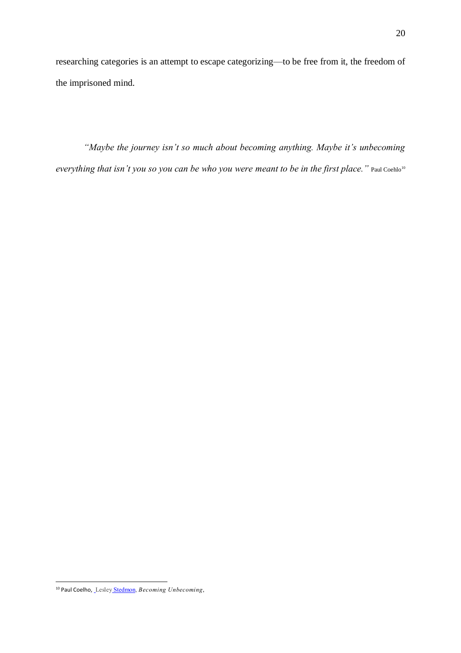researching categories is an attempt to escape categorizing—to be free from it, the freedom of the imprisoned mind.

*"Maybe the journey isn't so much about becoming anything. Maybe it's unbecoming everything that isn't you so you can be who you were meant to be in the first place.*" Paul Coehlo<sup>10</sup>

<sup>10</sup> Paul Coelho, Lesley [Stedmon,](https://www.huffpost.com/author/lesley-stedmon) *Becoming Unbecoming*,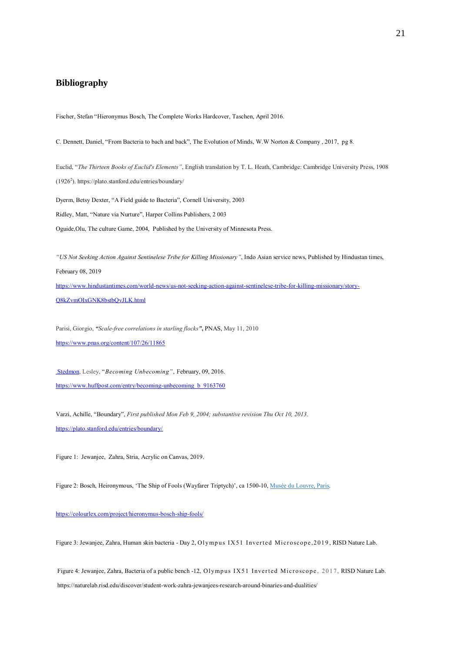#### **Bibliography**

Fischer, Stefan "Hieronymus Bosch, The Complete Works Hardcover, Taschen, April 2016.

C. Dennett, Daniel, "From Bacteria to bach and back", The Evolution of Minds, W.W Norton & Company , 2017, pg 8.

Euclid, "*The Thirteen Books of Euclid's Elements"*, English translation by T. L. Heath, Cambridge: Cambridge University Press, 1908 (1926<sup>2</sup> ). https://plato.stanford.edu/entries/boundary/

Dyerm, Betsy Dexter, "A Field guide to Bacteria", Cornell University, 2003 Ridley, Matt, "Nature via Nurture", Harper Collins Publishers, 2 003 Oguide,Olu, The culture Game, 2004, Published by the University of Minnesota Press.

*"US Not Seeking Action Against Sentinelese Tribe for Killing Missionary"*, Indo Asian service news, Published by Hindustan times, February 08, 2019 [https://www.hindustantimes.com/world-news/us-not-seeking-action-against-sentinelese-tribe-for-killing-missionary/story-](https://www.hindustantimes.com/world-news/us-not-seeking-action-against-sentinelese-tribe-for-killing-missionary/story-Q8kZvmOIxGNK8bstbQvJLK.html)[Q8kZvmOIxGNK8bstbQvJLK.html](https://www.hindustantimes.com/world-news/us-not-seeking-action-against-sentinelese-tribe-for-killing-missionary/story-Q8kZvmOIxGNK8bstbQvJLK.html)

Parisi, Giorgio, *"Scale-free correlations in starling flocks"***,** PNAS, May 11, 2010 <https://www.pnas.org/content/107/26/11865>

[Stedmon,](https://www.huffpost.com/author/lesley-stedmon) Lesley, "*Becoming Unbecoming"*, February, 09, 2016. [https://www.huffpost.com/entry/becoming-unbecoming\\_b\\_9163760](https://www.huffpost.com/entry/becoming-unbecoming_b_9163760)

Varzi, Achille, "Boundary", *First published Mon Feb 9, 2004; substantive revision Thu Oct 10, 2013.* <https://plato.stanford.edu/entries/boundary/>

Figure 1: Jewanjee, Zahra, Stria, Acrylic on Canvas, 2019.

Figure 2: Bosch, Heironymous, 'The Ship of Fools (Wayfarer Triptych)', ca 1500-10, Musée du [Louvre,](http://www.louvre.fr/en) Paris.

#### <https://colourlex.com/project/hieronymus-bosch-ship-fools/>

Figure 3: Jewanjee, Zahra, Human skin bacteria - Day 2, Olympus IX51 Inverted Microscope, 2019, RISD Nature Lab.

Figure 4: Jewanjee, Zahra, Bacteria of a public bench -12, Olympus IX51 Inverted Microscope, 2017, RISD Nature Lab. https://naturelab.risd.edu/discover/student-work-zahra-jewanjees-research-around-binaries-and-dualities/